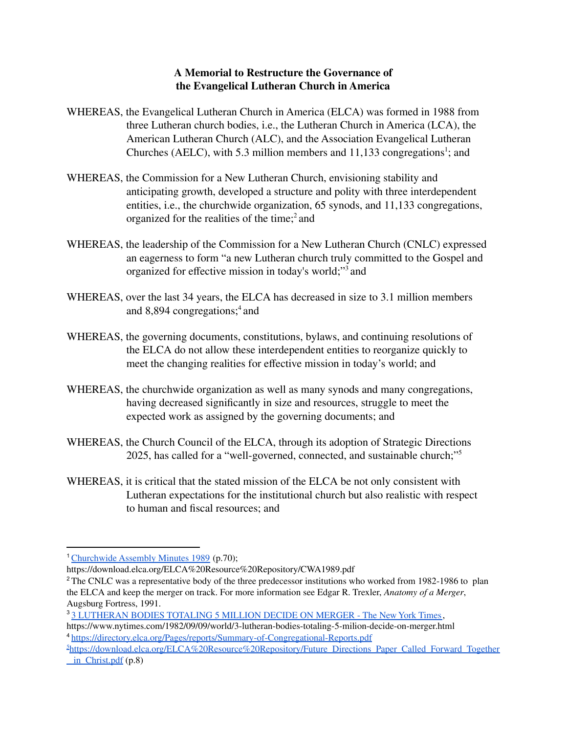## **A Memorial to Restructure the Governance of the Evangelical Lutheran Church in America**

- WHEREAS, the Evangelical Lutheran Church in America (ELCA) was formed in 1988 from three Lutheran church bodies, i.e., the Lutheran Church in America (LCA), the American Lutheran Church (ALC), and the Association Evangelical Lutheran Churches (AELC), with 5.3 million members and  $11,133$  congregations<sup>1</sup>; and
- WHEREAS, the Commission for a New Lutheran Church, envisioning stability and anticipating growth, developed a structure and polity with three interdependent entities, i.e., the churchwide organization, 65 synods, and 11,133 congregations, organized for the realities of the time; <sup>2</sup> and
- WHEREAS, the leadership of the Commission for a New Lutheran Church (CNLC) expressed an eagerness to form "a new Lutheran church truly committed to the Gospel and organized for effective mission in today's world;" <sup>3</sup> and
- WHEREAS, over the last 34 years, the ELCA has decreased in size to 3.1 million members and 8,894 congregations; <sup>4</sup> and
- WHEREAS, the governing documents, constitutions, bylaws, and continuing resolutions of the ELCA do not allow these interdependent entities to reorganize quickly to meet the changing realities for effective mission in today's world; and
- WHEREAS, the churchwide organization as well as many synods and many congregations, having decreased significantly in size and resources, struggle to meet the expected work as assigned by the governing documents; and
- WHEREAS, the Church Council of the ELCA, through its adoption of Strategic Directions 2025, has called for a "well-governed, connected, and sustainable church;" 5
- WHEREAS, it is critical that the stated mission of the ELCA be not only consistent with Lutheran expectations for the institutional church but also realistic with respect to human and fiscal resources; and

<sup>&</sup>lt;sup>1</sup> [Churchwide](https://download.elca.org/ELCA%20Resource%20Repository/CWA1989.pdf) Assembly Minutes 1989 (p.70);

https://download.elca.org/ELCA%20Resource%20Repository/CWA1989.pdf

<sup>&</sup>lt;sup>2</sup> The CNLC was a representative body of the three predecessor institutions who worked from 1982-1986 to plan the ELCA and keep the merger on track. For more information see Edgar R. Trexler, *Anatomy of a Merger*, Augsburg Fortress, 1991.

<sup>3</sup> 3 [LUTHERAN](https://www.nytimes.com/1982/09/09/world/3-lutheran-bodies-totaling-5-milion-decide-on-merger.html) BODIES TOTALING 5 MILLION DECIDE ON MERGER - The New York Times,

<sup>4</sup> <https://directory.elca.org/Pages/reports/Summary-of-Congregational-Reports.pdf> https://www.nytimes.com/1982/09/09/world/3-lutheran-bodies-totaling-5-milion-decide-on-merger.html

<sup>&</sup>lt;sup>5</sup>[https://download.elca.org/ELCA%20Resource%20Repository/Future\\_Directions\\_Paper\\_Called\\_Forward\\_Together](https://download.elca.org/ELCA%20Resource%20Repository/Future_Directions_Paper_Called_Forward_Together_) \_ [in\\_Christ.pdf](https://download.elca.org/ELCA%20Resource%20Repository/Future_Directions_Paper_Called_Forward_Together_) (p.8)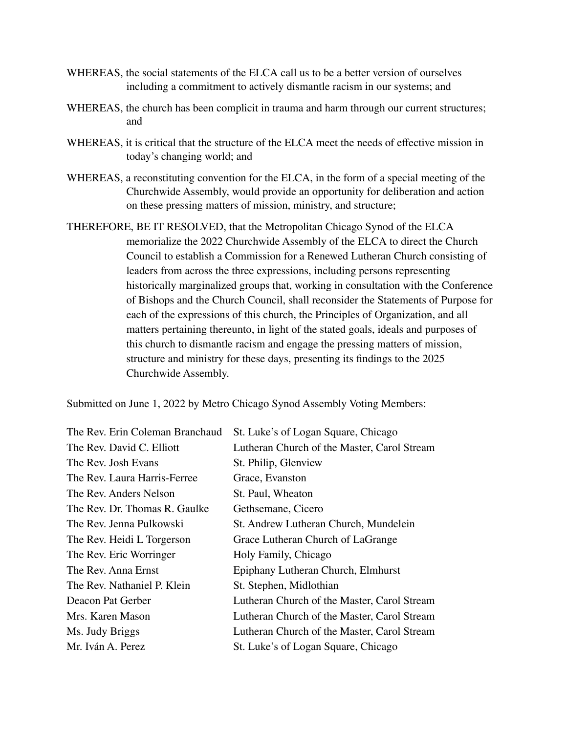- WHEREAS, the social statements of the ELCA call us to be a better version of ourselves including a commitment to actively dismantle racism in our systems; and
- WHEREAS, the church has been complicit in trauma and harm through our current structures; and
- WHEREAS, it is critical that the structure of the ELCA meet the needs of effective mission in today's changing world; and
- WHEREAS, a reconstituting convention for the ELCA, in the form of a special meeting of the Churchwide Assembly, would provide an opportunity for deliberation and action on these pressing matters of mission, ministry, and structure;
- THEREFORE, BE IT RESOLVED, that the Metropolitan Chicago Synod of the ELCA memorialize the 2022 Churchwide Assembly of the ELCA to direct the Church Council to establish a Commission for a Renewed Lutheran Church consisting of leaders from across the three expressions, including persons representing historically marginalized groups that, working in consultation with the Conference of Bishops and the Church Council, shall reconsider the Statements of Purpose for each of the expressions of this church, the Principles of Organization, and all matters pertaining thereunto, in light of the stated goals, ideals and purposes of this church to dismantle racism and engage the pressing matters of mission, structure and ministry for these days, presenting its findings to the 2025 Churchwide Assembly.

Submitted on June 1, 2022 by Metro Chicago Synod Assembly Voting Members:

| St. Luke's of Logan Square, Chicago         |
|---------------------------------------------|
| Lutheran Church of the Master, Carol Stream |
| St. Philip, Glenview                        |
| Grace, Evanston                             |
| St. Paul, Wheaton                           |
| Gethsemane, Cicero                          |
| St. Andrew Lutheran Church, Mundelein       |
| Grace Lutheran Church of LaGrange           |
| Holy Family, Chicago                        |
| Epiphany Lutheran Church, Elmhurst          |
| St. Stephen, Midlothian                     |
| Lutheran Church of the Master, Carol Stream |
| Lutheran Church of the Master, Carol Stream |
| Lutheran Church of the Master, Carol Stream |
| St. Luke's of Logan Square, Chicago         |
|                                             |